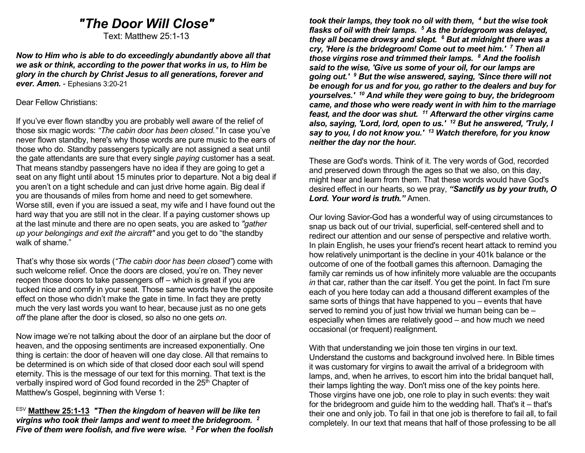# "The Door Will Close"

Text: Matthew 25:1-13

Now to Him who is able to do exceedingly abundantly above all that we ask or think, according to the power that works in us, to Him be glory in the church by Christ Jesus to all generations, forever and ever. Amen. - Ephesians 3:20-21

#### Dear Fellow Christians:

If you've ever flown standby you are probably well aware of the relief of those six magic words: "The cabin door has been closed." In case you've never flown standby, here's why those words are pure music to the ears of those who do. Standby passengers typically are not assigned a seat until the gate attendants are sure that every single *paying* customer has a seat. That means standby passengers have no idea if they are going to get a seat on any flight until about 15 minutes prior to departure. Not a big deal if you aren't on a tight schedule and can just drive home again. Big deal if you are thousands of miles from home and need to get somewhere. Worse still, even if you are issued a seat, my wife and I have found out the hard way that you are still not in the clear. If a paying customer shows up at the last minute and there are no open seats, you are asked to "gather up your belongings and exit the aircraft" and you get to do "the standby walk of shame."

That's why those six words ("The cabin door has been closed") come with such welcome relief. Once the doors are closed, you're on. They never reopen those doors to take passengers off – which is great if you are tucked nice and comfy in your seat. Those same words have the opposite effect on those who didn't make the gate in time. In fact they are pretty much the very last words you want to hear, because just as no one gets off the plane after the door is closed, so also no one gets on.

Now image we're not talking about the door of an airplane but the door of heaven, and the opposing sentiments are increased exponentially. One thing is certain: the door of heaven will one day close. All that remains to be determined is on which side of that closed door each soul will spend eternity. This is the message of our text for this morning. That text is the verbally inspired word of God found recorded in the 25<sup>th</sup> Chapter of Matthew's Gospel, beginning with Verse 1:

 $ESV$  Matthew 25:1-13 "Then the kingdom of heaven will be like ten virgins who took their lamps and went to meet the bridegroom. <sup>2</sup> Five of them were foolish, and five were wise.  $3$  For when the foolish

took their lamps, they took no oil with them,  $4$  but the wise took flasks of oil with their lamps. <sup>5</sup> As the bridegroom was delayed, they all became drowsy and slept. <sup>6</sup> But at midnight there was a cry, 'Here is the bridegroom! Come out to meet him.' 7 Then all those virgins rose and trimmed their lamps. <sup>8</sup> And the foolish said to the wise, 'Give us some of your oil, for our lamps are going out.' <sup>9</sup> But the wise answered, saying, 'Since there will not be enough for us and for you, go rather to the dealers and buy for yourselves.' <sup>10</sup> And while they were going to buy, the bridegroom came, and those who were ready went in with him to the marriage feast, and the door was shut.  $11$  Afterward the other virgins came also, saying, 'Lord, lord, open to us.'  $12$  But he answered, 'Truly, I say to you, I do not know you.'  $13$  Watch therefore, for you know neither the day nor the hour.

These are God's words. Think of it. The very words of God, recorded and preserved down through the ages so that we also, on this day, might hear and learn from them. That these words would have God's desired effect in our hearts, so we pray, "Sanctify us by your truth, O Lord. Your word is truth." Amen.

Our loving Savior-God has a wonderful way of using circumstances to snap us back out of our trivial, superficial, self-centered shell and to redirect our attention and our sense of perspective and relative worth. In plain English, he uses your friend's recent heart attack to remind you how relatively unimportant is the decline in your 401k balance or the outcome of one of the football games this afternoon. Damaging the family car reminds us of how infinitely more valuable are the occupants in that car, rather than the car itself. You get the point. In fact I'm sure each of you here today can add a thousand different examples of the same sorts of things that have happened to you – events that have served to remind you of just how trivial we human being can be – especially when times are relatively good – and how much we need occasional (or frequent) realignment.

With that understanding we join those ten virgins in our text. Understand the customs and background involved here. In Bible times it was customary for virgins to await the arrival of a bridegroom with lamps, and, when he arrives, to escort him into the bridal banquet hall, their lamps lighting the way. Don't miss one of the key points here. Those virgins have one job, one role to play in such events: they wait for the bridegroom and guide him to the wedding hall. That's it – that's their one and only job. To fail in that one job is therefore to fail all, to fail completely. In our text that means that half of those professing to be all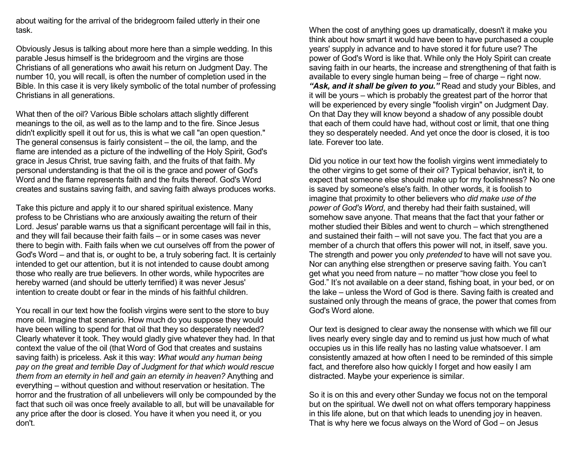about waiting for the arrival of the bridegroom failed utterly in their one task.

Obviously Jesus is talking about more here than a simple wedding. In this parable Jesus himself is the bridegroom and the virgins are those Christians of all generations who await his return on Judgment Day. The number 10, you will recall, is often the number of completion used in the Bible. In this case it is very likely symbolic of the total number of professing Christians in all generations.

What then of the oil? Various Bible scholars attach slightly different meanings to the oil, as well as to the lamp and to the fire. Since Jesus didn't explicitly spell it out for us, this is what we call "an open question." The general consensus is fairly consistent – the oil, the lamp, and the flame are intended as a picture of the indwelling of the Holy Spirit, God's grace in Jesus Christ, true saving faith, and the fruits of that faith. My personal understanding is that the oil is the grace and power of God's Word and the flame represents faith and the fruits thereof. God's Word creates and sustains saving faith, and saving faith always produces works.

Take this picture and apply it to our shared spiritual existence. Many profess to be Christians who are anxiously awaiting the return of their Lord. Jesus' parable warns us that a significant percentage will fail in this, and they will fail because their faith fails – or in some cases was never there to begin with. Faith fails when we cut ourselves off from the power of God's Word – and that is, or ought to be, a truly sobering fact. It is certainly intended to get our attention, but it is not intended to cause doubt among those who really are true believers. In other words, while hypocrites are hereby warned (and should be utterly terrified) it was never Jesus' intention to create doubt or fear in the minds of his faithful children.

You recall in our text how the foolish virgins were sent to the store to buy more oil. Imagine that scenario. How much do you suppose they would have been willing to spend for that oil that they so desperately needed? Clearly whatever it took. They would gladly give whatever they had. In that context the value of the oil (that Word of God that creates and sustains saving faith) is priceless. Ask it this way: What would any human being pay on the great and terrible Day of Judgment for that which would rescue them from an eternity in hell and gain an eternity in heaven? Anything and everything – without question and without reservation or hesitation. The horror and the frustration of all unbelievers will only be compounded by the fact that such oil was once freely available to all, but will be unavailable for any price after the door is closed. You have it when you need it, or you don't.

When the cost of anything goes up dramatically, doesn't it make you think about how smart it would have been to have purchased a couple years' supply in advance and to have stored it for future use? The power of God's Word is like that. While only the Holy Spirit can create saving faith in our hearts, the increase and strengthening of that faith is available to every single human being – free of charge – right now. "Ask, and it shall be given to you." Read and study your Bibles, and it will be yours – which is probably the greatest part of the horror that will be experienced by every single "foolish virgin" on Judgment Day. On that Day they will know beyond a shadow of any possible doubt that each of them could have had, without cost or limit, that one thing they so desperately needed. And yet once the door is closed, it is too late. Forever too late.

Did you notice in our text how the foolish virgins went immediately to the other virgins to get some of their oil? Typical behavior, isn't it, to expect that someone else should make up for my foolishness? No one is saved by someone's else's faith. In other words, it is foolish to imagine that proximity to other believers who did make use of the power of God's Word, and thereby had their faith sustained, will somehow save anyone. That means that the fact that your father or mother studied their Bibles and went to church – which strengthened and sustained their faith – will not save you. The fact that you are a member of a church that offers this power will not, in itself, save you. The strength and power you only *pretended* to have will not save you. Nor can anything else strengthen or preserve saving faith. You can't get what you need from nature – no matter "how close you feel to God." It's not available on a deer stand, fishing boat, in your bed, or on the lake – unless the Word of God is there. Saving faith is created and sustained only through the means of grace, the power that comes from God's Word alone.

Our text is designed to clear away the nonsense with which we fill our lives nearly every single day and to remind us just how much of what occupies us in this life really has no lasting value whatsoever. I am consistently amazed at how often I need to be reminded of this simple fact, and therefore also how quickly I forget and how easily I am distracted. Maybe your experience is similar.

So it is on this and every other Sunday we focus not on the temporal but on the spiritual. We dwell not on what offers temporary happiness in this life alone, but on that which leads to unending joy in heaven. That is why here we focus always on the Word of God – on Jesus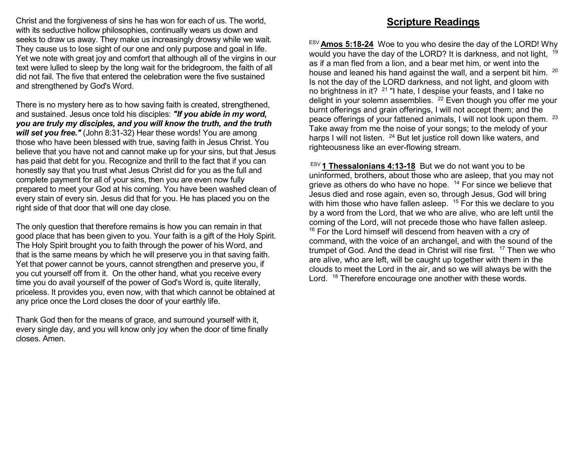Christ and the forgiveness of sins he has won for each of us. The world, with its seductive hollow philosophies, continually wears us down and seeks to draw us away. They make us increasingly drowsy while we wait. They cause us to lose sight of our one and only purpose and goal in life. Yet we note with great joy and comfort that although all of the virgins in our text were lulled to sleep by the long wait for the bridegroom, the faith of all did not fail. The five that entered the celebration were the five sustained and strengthened by God's Word.

There is no mystery here as to how saving faith is created, strengthened, and sustained. Jesus once told his disciples: "If you abide in my word, you are truly my disciples, and you will know the truth, and the truth will set you free." (John 8:31-32) Hear these words! You are among those who have been blessed with true, saving faith in Jesus Christ. You believe that you have not and cannot make up for your sins, but that Jesus has paid that debt for you. Recognize and thrill to the fact that if you can honestly say that you trust what Jesus Christ did for you as the full and complete payment for all of your sins, then you are even now fully prepared to meet your God at his coming. You have been washed clean of every stain of every sin. Jesus did that for you. He has placed you on the right side of that door that will one day close.

The only question that therefore remains is how you can remain in that good place that has been given to you. Your faith is a gift of the Holy Spirit. The Holy Spirit brought you to faith through the power of his Word, and that is the same means by which he will preserve you in that saving faith. Yet that power cannot be yours, cannot strengthen and preserve you, if you cut yourself off from it. On the other hand, what you receive every time you do avail yourself of the power of God's Word is, quite literally, priceless. It provides you, even now, with that which cannot be obtained at any price once the Lord closes the door of your earthly life.

Thank God then for the means of grace, and surround yourself with it, every single day, and you will know only joy when the door of time finally closes. Amen.

## Scripture Readings

 $ESV$  Amos 5:18-24 Woe to you who desire the day of the LORD! Why would you have the day of the LORD? It is darkness, and not light, <sup>19</sup> as if a man fled from a lion, and a bear met him, or went into the house and leaned his hand against the wall, and a serpent bit him. <sup>20</sup> Is not the day of the LORD darkness, and not light, and gloom with no brightness in it? <sup>21</sup> "I hate, I despise your feasts, and I take no delight in your solemn assemblies. <sup>22</sup> Even though you offer me your burnt offerings and grain offerings, I will not accept them; and the peace offerings of your fattened animals, I will not look upon them. <sup>23</sup> Take away from me the noise of your songs; to the melody of your harps I will not listen. <sup>24</sup> But let justice roll down like waters, and righteousness like an ever-flowing stream.

 $E$ <sup>ESV</sup> 1 Thessalonians 4:13-18 But we do not want you to be uninformed, brothers, about those who are asleep, that you may not grieve as others do who have no hope.  $14$  For since we believe that Jesus died and rose again, even so, through Jesus, God will bring with him those who have fallen asleep. <sup>15</sup> For this we declare to you by a word from the Lord, that we who are alive, who are left until the coming of the Lord, will not precede those who have fallen asleep. <sup>16</sup> For the Lord himself will descend from heaven with a cry of command, with the voice of an archangel, and with the sound of the trumpet of God. And the dead in Christ will rise first. <sup>17</sup> Then we who are alive, who are left, will be caught up together with them in the clouds to meet the Lord in the air, and so we will always be with the Lord. <sup>18</sup> Therefore encourage one another with these words.